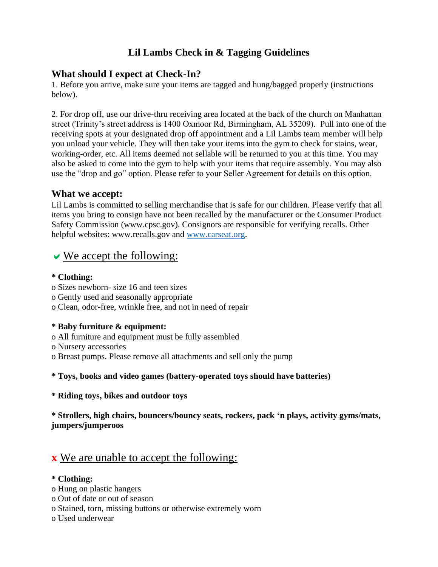## **Lil Lambs Check in & Tagging Guidelines**

## **What should I expect at Check-In?**

1. Before you arrive, make sure your items are tagged and hung/bagged properly (instructions below).

2. For drop off, use our drive-thru receiving area located at the back of the church on Manhattan street (Trinity's street address is 1400 Oxmoor Rd, Birmingham, AL 35209). Pull into one of the receiving spots at your designated drop off appointment and a Lil Lambs team member will help you unload your vehicle. They will then take your items into the gym to check for stains, wear, working-order, etc. All items deemed not sellable will be returned to you at this time. You may also be asked to come into the gym to help with your items that require assembly. You may also use the "drop and go" option. Please refer to your Seller Agreement for details on this option.

## **What we accept:**

Lil Lambs is committed to selling merchandise that is safe for our children. Please verify that all items you bring to consign have not been recalled by the manufacturer or the Consumer Product Safety Commission (www.cpsc.gov). Consignors are responsible for verifying recalls. Other helpful websites: www.recalls.gov and [www.carseat.org.](http://www.carseat.org/)

# $\vee$  We accept the following:

## **\* Clothing:**

- o Sizes newborn- size 16 and teen sizes
- o Gently used and seasonally appropriate
- o Clean, odor-free, wrinkle free, and not in need of repair

## **\* Baby furniture & equipment:**

- o All furniture and equipment must be fully assembled
- o Nursery accessories
- o Breast pumps. Please remove all attachments and sell only the pump

## **\* Toys, books and video games (battery-operated toys should have batteries)**

#### **\* Riding toys, bikes and outdoor toys**

**\* Strollers, high chairs, bouncers/bouncy seats, rockers, pack 'n plays, activity gyms/mats, jumpers/jumperoos**

# **x** We are unable to accept the following:

#### **\* Clothing:**

- o Hung on plastic hangers
- o Out of date or out of season
- o Stained, torn, missing buttons or otherwise extremely worn
- o Used underwear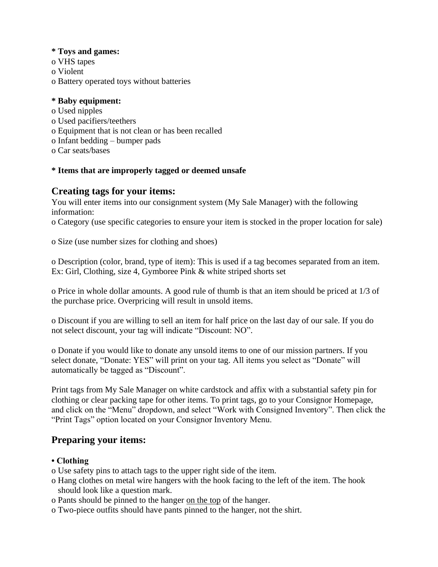#### **\* Toys and games:**

- o VHS tapes
- o Violent
- o Battery operated toys without batteries

#### **\* Baby equipment:**

- o Used nipples
- o Used pacifiers/teethers
- o Equipment that is not clean or has been recalled
- o Infant bedding bumper pads
- o Car seats/bases

#### **\* Items that are improperly tagged or deemed unsafe**

## **Creating tags for your items:**

You will enter items into our consignment system (My Sale Manager) with the following information:

o Category (use specific categories to ensure your item is stocked in the proper location for sale)

o Size (use number sizes for clothing and shoes)

o Description (color, brand, type of item): This is used if a tag becomes separated from an item. Ex: Girl, Clothing, size 4, Gymboree Pink & white striped shorts set

o Price in whole dollar amounts. A good rule of thumb is that an item should be priced at 1/3 of the purchase price. Overpricing will result in unsold items.

o Discount if you are willing to sell an item for half price on the last day of our sale. If you do not select discount, your tag will indicate "Discount: NO".

o Donate if you would like to donate any unsold items to one of our mission partners. If you select donate, "Donate: YES" will print on your tag. All items you select as "Donate" will automatically be tagged as "Discount".

Print tags from My Sale Manager on white cardstock and affix with a substantial safety pin for clothing or clear packing tape for other items. To print tags, go to your Consignor Homepage, and click on the "Menu" dropdown, and select "Work with Consigned Inventory". Then click the "Print Tags" option located on your Consignor Inventory Menu.

## **Preparing your items:**

## **• Clothing**

- o Use safety pins to attach tags to the upper right side of the item.
- o Hang clothes on metal wire hangers with the hook facing to the left of the item. The hook should look like a question mark.
- o Pants should be pinned to the hanger on the top of the hanger.
- o Two-piece outfits should have pants pinned to the hanger, not the shirt.